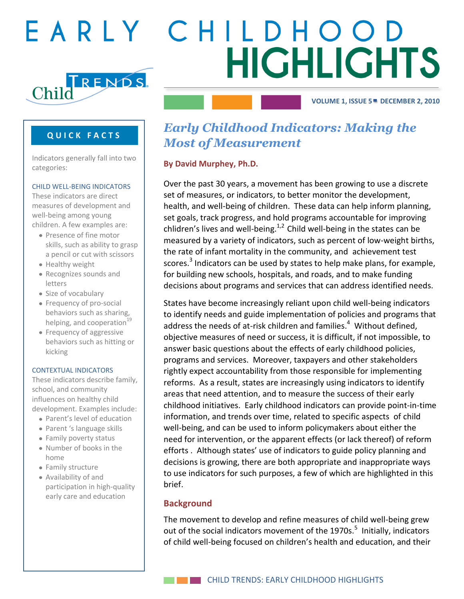

**VOLUME 1, ISSUE 5 VOLUME 1, ISSUE 1 VOLUME 1, ISSUE 1DECEMBER 2 APRIL 22, 2010 MAY 10, 2010 , 2010**

# **Q U I C K F A C T S**

Indicators generally fall into two categories:

#### CHILD WELL-BEING INDICATORS

These indicators are direct measures of development and well-being among young children. A few examples are:

- Presence of fine motor skills, such as ability to grasp a pencil or cut with scissors
- Healthy weight
- Recognizes sounds and letters
- Size of vocabulary
- Frequency of pro-social behaviors such as sharing, helping, and cooperation $\overline{19}$
- Frequency of aggressive behaviors such as hitting or kicking

#### CONTEXTUAL INDICATORS

These indicators describe family, school, and community influences on healthy child development. Examples include:

- Parent's level of education
- Parent 's language skills
- Family poverty status
- Number of books in the home
- Family structure
- Availability of and participation in high-quality early care and education

# *Early Childhood Indicators: Making the Most of Measurement*

# **By David Murphey, Ph.D.**

Over the past 30 years, a movement has been growing to use a discrete set of measures, or indicators, to better monitor the development, health, and well-being of children. These data can help inform planning, set goals, track progress, and hold programs accountable for improving chlidren's lives and well-being.<sup>1,2</sup> Child well-being in the states can be measured by a variety of indicators, such as percent of low-weight births, the rate of infant mortality in the community, and achievement test scores.<sup>3</sup> Indicators can be used by states to help make plans, for example, for building new schools, hospitals, and roads, and to make funding decisions about programs and services that can address identified needs.

States have become increasingly reliant upon child well-being indicators to identify needs and guide implementation of policies and programs that address the needs of at-risk children and families. $4\,$  Without defined, objective measures of need or success, it is difficult, if not impossible, to answer basic questions about the effects of early childhood policies, programs and services. Moreover, taxpayers and other stakeholders rightly expect accountability from those responsible for implementing reforms. As a result, states are increasingly using indicators to identify areas that need attention, and to measure the success of their early childhood initiatives. Early childhood indicators can provide point-in-time information, and trends over time, related to specific aspects of child well-being, and can be used to inform policymakers about either the need for intervention, or the apparent effects (or lack thereof) of reform efforts . Although states' use of indicators to guide policy planning and decisions is growing, there are both appropriate and inappropriate ways to use indicators for such purposes, a few of which are highlighted in this brief.

### **Background**

The movement to develop and refine measures of child well-being grew out of the social indicators movement of the 1970s.<sup>5</sup> Initially, indicators of child well-being focused on children's health and education, and their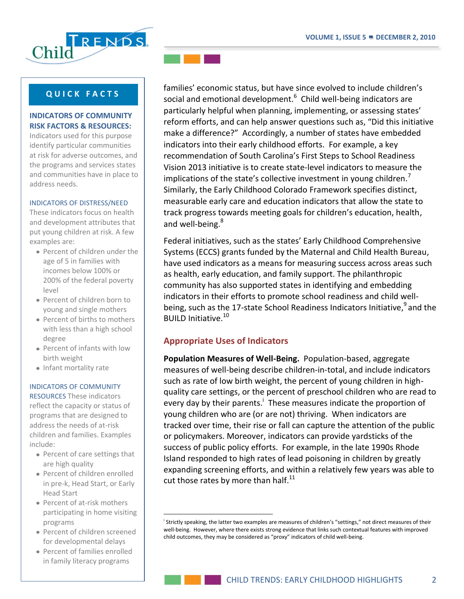

# **INDICATORS OF COMMUNITY RISK FACTORS & RESOURCES:**

Indicators used for this purpose identify particular communities at risk for adverse outcomes, and the programs and services states and communities have in place to address needs.

#### INDICATORS OF DISTRESS/NEED

These indicators focus on health and development attributes that put young children at risk. A few examples are:

- Percent of children under the age of 5 in families with incomes below 100% or 200% of the federal poverty level
- Percent of children born to young and single mothers
- Percent of births to mothers with less than a high school degree
- Percent of infants with low birth weight
- Infant mortality rate

#### INDICATORS OF COMMUNITY

RESOURCES These indicators reflect the capacity or status of programs that are designed to address the needs of at-risk children and families. Examples include:

- Percent of care settings that are high quality
- Percent of children enrolled in pre-k, Head Start, or Early Head Start
- Percent of at-risk mothers participating in home visiting programs

 $\overline{a}$ 

- Percent of children screened for developmental delays
- Percent of families enrolled in family literacy programs



families' economic status, but have since evolved to include children's social and emotional development. $^6$  Child well-being indicators are particularly helpful when planning, implementing, or assessing states' reform efforts, and can help answer questions such as, "Did this initiative make a difference?" Accordingly, a number of states have embedded indicators into their early childhood efforts. For example, a key recommendation of South Carolina's First Steps to School Readiness Vision 2013 initiative is to create state-level indicators to measure the implications of the state's collective investment in young children.<sup>7</sup> Similarly, the Early Childhood Colorado Framework specifies distinct, measurable early care and education indicators that allow the state to track progress towards meeting goals for children's education, health, and well-being.<sup>8</sup>

Federal initiatives, such as the states' Early Childhood Comprehensive Systems (ECCS) grants funded by the Maternal and Child Health Bureau, have used indicators as a means for measuring success across areas such as health, early education, and family support. The philanthropic community has also supported states in identifying and embedding indicators in their efforts to promote school readiness and child wellbeing, such as the 17-state School Readiness Indicators Initiative,<sup>9</sup> and the BUILD Initiative.<sup>10</sup>

# **Appropriate Uses of Indicators**

**Population Measures of Well-Being.** Population-based, aggregate measures of well-being describe children-in-total, and include indicators such as rate of low birth weight, the percent of young children in highquality care settings, or the percent of preschool children who are read to every day by their parents.<sup>i</sup> These measures indicate the proportion of young children who are (or are not) thriving. When indicators are tracked over time, their rise or fall can capture the attention of the public or policymakers. Moreover, indicators can provide yardsticks of the success of public policy efforts. For example, in the late 1990s Rhode Island responded to high rates of lead poisoning in children by greatly expanding screening efforts, and within a relatively few years was able to cut those rates by more than half. $^{11}$ 

i Strictly speaking, the latter two examples are measures of children's "settings," not direct measures of their well-being. However, where there exists strong evidence that links such contextual features with improved child outcomes, they may be considered as "proxy" indicators of child well-being.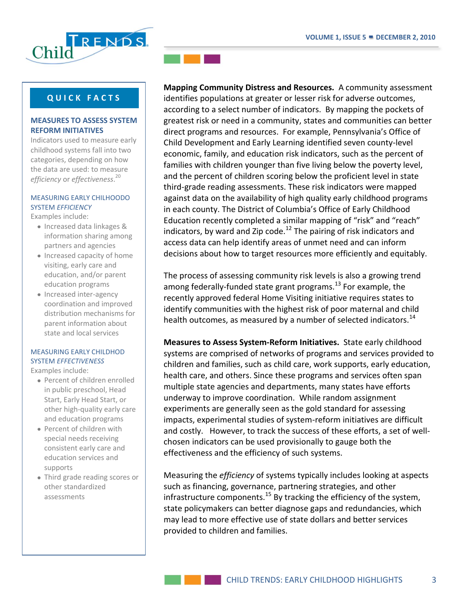

### **MEASURES TO ASSESS SYSTEM REFORM INITIATIVES**

Indicators used to measure early childhood systems fall into two categories, depending on how the data are used: to measure *efficiency* or *effectiveness*. 20

#### MEASURING EARLY CHILHOODO SYSTEM *EFFICIENCY*

Examples include:

- Increased data linkages & information sharing among partners and agencies
- Increased capacity of home visiting, early care and education, and/or parent education programs
- Increased inter-agency coordination and improved distribution mechanisms for parent information about state and local services

### MEASURING EARLY CHILDHOD SYSTEM *EFFECTIVENESS*

Examples include:

- Percent of children enrolled in public preschool, Head Start, Early Head Start, or other high-quality early care and education programs
- Percent of children with special needs receiving consistent early care and education services and supports
- Third grade reading scores or other standardized assessments



**Mapping Community Distress and Resources.** A community assessment identifies populations at greater or lesser risk for adverse outcomes, according to a select number of indicators. By mapping the pockets of greatest risk or need in a community, states and communities can better direct programs and resources. For example, Pennsylvania's Office of Child Development and Early Learning identified seven county-level economic, family, and education risk indicators, such as the percent of families with children younger than five living below the poverty level, and the percent of children scoring below the proficient level in state third-grade reading assessments. These risk indicators were mapped against data on the availability of high quality early childhood programs in each county. The District of Columbia's Office of Early Childhood Education recently completed a similar mapping of "risk" and "reach" indicators, by ward and Zip code. $^{12}$  The pairing of risk indicators and access data can help identify areas of unmet need and can inform decisions about how to target resources more efficiently and equitably.

The process of assessing community risk levels is also a growing trend among federally-funded state grant programs.<sup>13</sup> For example, the recently approved federal Home Visiting initiative requires states to identify communities with the highest risk of poor maternal and child health outcomes, as measured by a number of selected indicators.<sup>14</sup>

**Measures to Assess System-Reform Initiatives.** State early childhood systems are comprised of networks of programs and services provided to children and families, such as child care, work supports, early education, health care, and others. Since these programs and services often span multiple state agencies and departments, many states have efforts underway to improve coordination. While random assignment experiments are generally seen as the gold standard for assessing impacts, experimental studies of system-reform initiatives are difficult and costly. However, to track the success of these efforts, a set of wellchosen indicators can be used provisionally to gauge both the effectiveness and the efficiency of such systems.

Measuring the *efficiency* of systems typically includes looking at aspects such as financing, governance, partnering strategies, and other infrastructure components.<sup>15</sup> By tracking the efficiency of the system, state policymakers can better diagnose gaps and redundancies, which may lead to more effective use of state dollars and better services provided to children and families.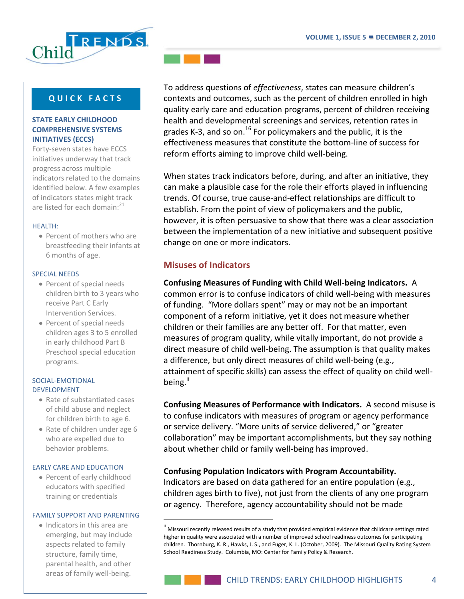

### **STATE EARLY CHILDHOOD COMPREHENSIVE SYSTEMS INITIATIVES (ECCS)**

Forty-seven states have ECCS initiatives underway that track progress across multiple indicators related to the domains identified below. A few examples of indicators states might track are listed for each domain:<sup>21</sup>

#### HEALTH:

• Percent of mothers who are breastfeeding their infants at 6 months of age.

#### SPECIAL NEEDS

- Percent of special needs children birth to 3 years who receive Part C Early Intervention Services.
- Percent of special needs children ages 3 to 5 enrolled in early childhood Part B Preschool special education programs.

#### SOCIAL-EMOTIONAL DEVELOPMENT

- Rate of substantiated cases of child abuse and neglect for children birth to age 6.
- Rate of children under age 6 who are expelled due to behavior problems.

#### EARLY CARE AND EDUCATION

• Percent of early childhood educators with specified training or credentials

#### FAMILY SUPPORT AND PARENTING

 $\overline{a}$ 

• Indicators in this area are emerging, but may include aspects related to family structure, family time, parental health, and other areas of family well-being.



To address questions of *effectiveness*, states can measure children's contexts and outcomes, such as the percent of children enrolled in high quality early care and education programs, percent of children receiving health and developmental screenings and services, retention rates in grades K-3, and so on.<sup>16</sup> For policymakers and the public, it is the effectiveness measures that constitute the bottom-line of success for reform efforts aiming to improve child well-being.

When states track indicators before, during, and after an initiative, they can make a plausible case for the role their efforts played in influencing trends. Of course, true cause-and-effect relationships are difficult to establish. From the point of view of policymakers and the public, however, it is often persuasive to show that there was a clear association between the implementation of a new initiative and subsequent positive change on one or more indicators.

# **Misuses of Indicators**

# **Confusing Measures of Funding with Child Well-being Indicators.** A

common error is to confuse indicators of child well-being with measures of funding. "More dollars spent" may or may not be an important component of a reform initiative, yet it does not measure whether children or their families are any better off. For that matter, even measures of program quality, while vitally important, do not provide a direct measure of child well-being. The assumption is that quality makes a difference, but only direct measures of child well-being (e.g., attainment of specific skills) can assess the effect of quality on child wellbeing.<sup>ii</sup>

**Confusing Measures of Performance with Indicators.** A second misuse is to confuse indicators with measures of program or agency performance or service delivery. "More units of service delivered," or "greater collaboration" may be important accomplishments, but they say nothing about whether child or family well-being has improved.

### **Confusing Population Indicators with Program Accountability.**

Indicators are based on data gathered for an entire population (e.g., children ages birth to five), not just from the clients of any one program or agency. Therefore, agency accountability should not be made

Missouri recently released results of a study that provided empirical evidence that childcare settings rated higher in quality were associated with a number of improved school readiness outcomes for participating children. Thornburg, K. R., Hawks, J. S., and Fuger, K. L. (October, 2009). The Missouri Quality Rating System School Readiness Study. Columbia, MO: Center for Family Policy & Research.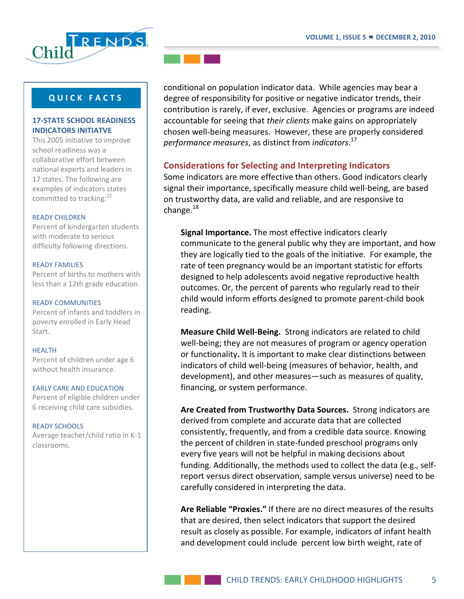

### **17-STATE SCHOOL READINESS INDICATORS INITIATVE**

This 2005 initiative to improve school readiness was a collaborative effort between national experts and leaders in 17 states. The following are examples of indicators states committed to tracking:<sup>22</sup>

#### READY CHILDREN

Percent of kindergarten students with moderate to serious difficulty following directions.

#### READY FAMILIES

Percent of births to mothers with less than a 12th grade education.

#### READY COMMUNITIES

Percent of infants and toddlers in poverty enrolled in Early Head Start.

#### HEALTH

Percent of children under age 6 without health insurance.

#### EARLY CARE AND EDUCATION

Percent of eligible children under 6 receiving child care subsidies.

#### READY SCHOOLS

Average teacher/child ratio in K-1 classrooms.



conditional on population indicator data. While agencies may bear a degree of responsibility for positive or negative indicator trends, their contribution is rarely, if ever, exclusive. Agencies or programs are indeed accountable for seeing that *their clients* make gains on appropriately chosen well-being measures. However, these are properly considered *performance measures*, as distinct from *indicators*. 17

# **Considerations for Selecting and Interpreting Indicators**

Some indicators are more effective than others. Good indicators clearly signal their importance, specifically measure child well-being, are based on trustworthy data, are valid and reliable, and are responsive to change. $^{18}$ 

**Signal Importance.** The most effective indicators clearly communicate to the general public why they are important, and how they are logically tied to the goals of the initiative. For example, the rate of teen pregnancy would be an important statistic for efforts designed to help adolescents avoid negative reproductive health outcomes. Or, the percent of parents who regularly read to their child would inform efforts designed to promote parent-child book reading.

**Measure Child Well-Being.** Strong indicators are related to child well-being; they are not measures of program or agency operation or functionality**.** It is important to make clear distinctions between indicators of child well-being (measures of behavior, health, and development), and other measures—such as measures of quality, financing, or system performance.

**Are Created from Trustworthy Data Sources.** Strong indicators are derived from complete and accurate data that are collected consistently, frequently, and from a credible data source. Knowing the percent of children in state-funded preschool programs only every five years will not be helpful in making decisions about funding. Additionally, the methods used to collect the data (e.g., selfreport versus direct observation, sample versus universe) need to be carefully considered in interpreting the data.

**Are Reliable "Proxies."** If there are no direct measures of the results that are desired, then select indicators that support the desired result as closely as possible. For example, indicators of infant health and development could include percent low birth weight, rate of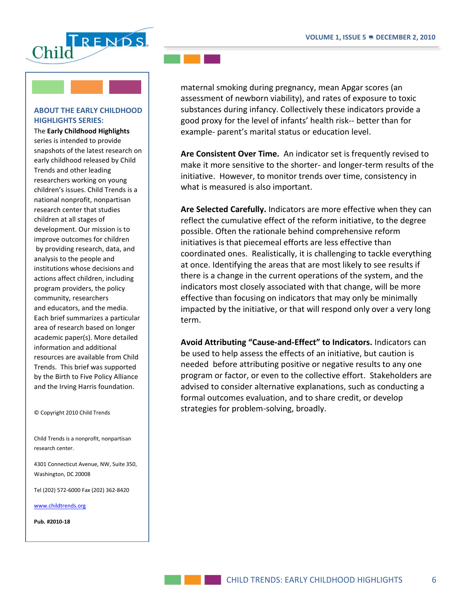

### **ABOUT THE EARLY CHILDHOOD HIGHLIGHTS SERIES:**

The **Early Childhood Highlights** series is intended to provide snapshots of the latest research on early childhood released by Child Trends and other leading researchers working on young children's issues. Child Trends is a national nonprofit, nonpartisan research center that studies children at all stages of development. Our mission is to improve outcomes for children by providing research, data, and analysis to the people and institutions whose decisions and actions affect children, including program providers, the policy community, researchers and educators, and the media. Each brief summarizes a particular area of research based on longer academic paper(s). More detailed information and additional resources are available from Child Trends. This brief was supported by the Birth to Five Policy Alliance and the Irving Harris foundation.

© Copyright 2010 Child Trends

Child Trends is a nonprofit, nonpartisan research center.

4301 Connecticut Avenue, NW, Suite 350, Washington, DC 20008

Tel (202) 572-6000 Fax (202) 362-8420

[www.childtrends.org](http://www.childtrends.org/)

**Pub. #2010-18**



maternal smoking during pregnancy, mean Apgar scores (an assessment of newborn viability), and rates of exposure to toxic substances during infancy. Collectively these indicators provide a good proxy for the level of infants' health risk-- better than for example- parent's marital status or education level.

**Are Consistent Over Time.** An indicator set is frequently revised to make it more sensitive to the shorter- and longer-term results of the initiative. However, to monitor trends over time, consistency in what is measured is also important.

**Are Selected Carefully.** Indicators are more effective when they can reflect the cumulative effect of the reform initiative, to the degree possible. Often the rationale behind comprehensive reform initiatives is that piecemeal efforts are less effective than coordinated ones. Realistically, it is challenging to tackle everything at once. Identifying the areas that are most likely to see results if there is a change in the current operations of the system, and the indicators most closely associated with that change, will be more effective than focusing on indicators that may only be minimally impacted by the initiative, or that will respond only over a very long term.

**Avoid Attributing "Cause-and-Effect" to Indicators.** Indicators can be used to help assess the effects of an initiative, but caution is needed before attributing positive or negative results to any one program or factor, or even to the collective effort. Stakeholders are advised to consider alternative explanations, such as conducting a formal outcomes evaluation, and to share credit, or develop strategies for problem-solving, broadly.